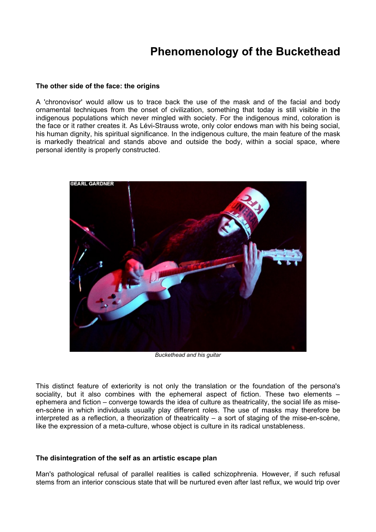## **Phenomenology of the Buckethead**

## **The other side of the face: the origins**

A 'chronovisor' would allow us to trace back the use of the mask and of the facial and body ornamental techniques from the onset of civilization, something that today is still visible in the indigenous populations which never mingled with society. For the indigenous mind, coloration is the face or it rather creates it. As Lévi-Strauss wrote, only color endows man with his being social, his human dignity, his spiritual significance. In the indigenous culture, the main feature of the mask is markedly theatrical and stands above and outside the body, within a social space, where personal identity is properly constructed.



*Buckethead and his guitar*

This distinct feature of exteriority is not only the translation or the foundation of the persona's sociality, but it also combines with the ephemeral aspect of fiction. These two elements – ephemera and fiction – converge towards the idea of culture as theatricality, the social life as miseen-scène in which individuals usually play different roles. The use of masks may therefore be interpreted as a reflection, a theorization of theatricality – a sort of staging of the mise-en-scène, like the expression of a meta-culture, whose object is culture in its radical unstableness.

## **The disintegration of the self as an artistic escape plan**

Man's pathological refusal of parallel realities is called schizophrenia. However, if such refusal stems from an interior conscious state that will be nurtured even after last reflux, we would trip over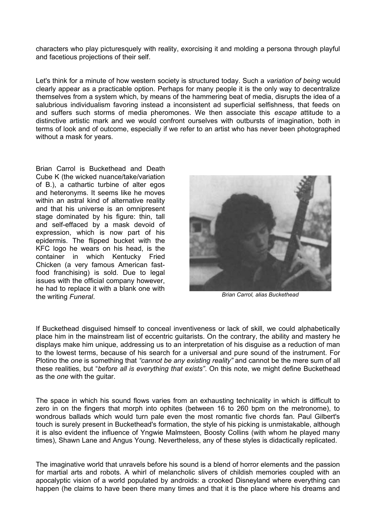characters who play picturesquely with reality, exorcising it and molding a persona through playful and facetious projections of their self.

Let's think for a minute of how western society is structured today. Such a *variation of being* would clearly appear as a practicable option. Perhaps for many people it is the only way to decentralize themselves from a system which, by means of the hammering beat of media, disrupts the idea of a salubrious individualism favoring instead a inconsistent ad superficial selfishness, that feeds on and suffers such storms of media pheromones. We then associate this *escape* attitude to a distinctive artistic mark and we would confront ourselves with outbursts of imagination, both in terms of look and of outcome, especially if we refer to an artist who has never been photographed without a mask for years.

Brian Carrol is Buckethead and Death Cube K (the wicked nuance/take/variation of B.), a cathartic turbine of alter egos and heteronyms. It seems like he moves within an astral kind of alternative reality and that his universe is an omnipresent stage dominated by his figure: thin, tall and self-effaced by a mask devoid of expression, which is now part of his epidermis. The flipped bucket with the KFC logo he wears on his head, is the container in which Kentucky Fried Chicken (a very famous American fastfood franchising) is sold. Due to legal issues with the official company however, he had to replace it with a blank one with the writing *Funeral*.



*Brian Carrol, alias Buckethead*

If Buckethead disguised himself to conceal inventiveness or lack of skill, we could alphabetically place him in the mainstream list of eccentric guitarists. On the contrary, the ability and mastery he displays make him unique, addressing us to an interpretation of his disguise as a reduction of man to the lowest terms, because of his search for a universal and pure sound of the instrument. For Plotino the *one* is something that *"cannot be any existing reality"* and cannot be the mere sum of all these realities, but "*before all is everything that exists"*. On this note, we might define Buckethead as the *one* with the guitar.

The space in which his sound flows varies from an exhausting technicality in which is difficult to zero in on the fingers that morph into ophites (between 16 to 260 bpm on the metronome), to wondrous ballads which would turn pale even the most romantic five chords fan. Paul Gilbert's touch is surely present in Buckethead's formation, the style of his picking is unmistakable, although it is also evident the influence of Yngwie Malmsteen, Boosty Collins (with whom he played many times), Shawn Lane and Angus Young. Nevertheless, any of these styles is didactically replicated.

The imaginative world that unravels before his sound is a blend of horror elements and the passion for martial arts and robots. A whirl of melancholic slivers of childish memories coupled with an apocalyptic vision of a world populated by androids: a crooked Disneyland where everything can happen (he claims to have been there many times and that it is the place where his dreams and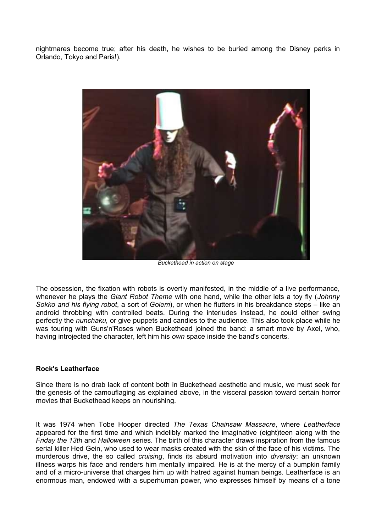nightmares become true; after his death, he wishes to be buried among the Disney parks in Orlando, Tokyo and Paris!).



*Buckethead in action on stage*

The obsession, the fixation with robots is overtly manifested, in the middle of a live performance, whenever he plays the *Giant Robot Theme* with one hand, while the other lets a toy fly (*Johnny Sokko and his flying robot*, a sort of *Golem*), or when he flutters in his breakdance steps – like an android throbbing with controlled beats. During the interludes instead, he could either swing perfectly the *nunchaku,* or give puppets and candies to the audience. This also took place while he was touring with Guns'n'Roses when Buckethead joined the band: a smart move by Axel, who, having introjected the character, left him his *own* space inside the band's concerts.

## **Rock's Leatherface**

Since there is no drab lack of content both in Buckethead aesthetic and music, we must seek for the genesis of the camouflaging as explained above, in the visceral passion toward certain horror movies that Buckethead keeps on nourishing.

It was 1974 when Tobe Hooper directed *The Texas Chainsaw Massacre*, where *Leatherface* appeared for the first time and which indelibly marked the imaginative (eight)teen along with the *Friday the 13th* and *Halloween* series. The birth of this character draws inspiration from the famous serial killer Hed Gein, who used to wear masks created with the skin of the face of his victims. The murderous drive, the so called *cruising*, finds its absurd motivation into *diversity*: an unknown illness warps his face and renders him mentally impaired. He is at the mercy of a bumpkin family and of a micro-universe that charges him up with hatred against human beings. Leatherface is an enormous man, endowed with a superhuman power, who expresses himself by means of a tone